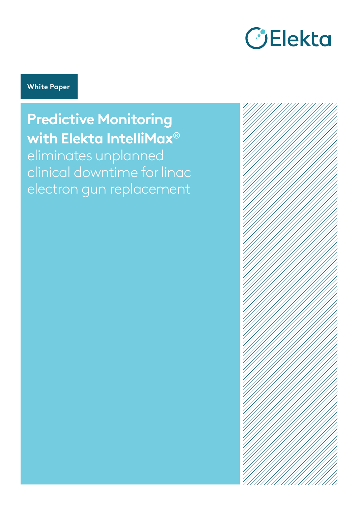

#### **White Paper**

**Predictive Monitoring with Elekta IntelliMax®** eliminates unplanned clinical downtime for linac electron gun replacement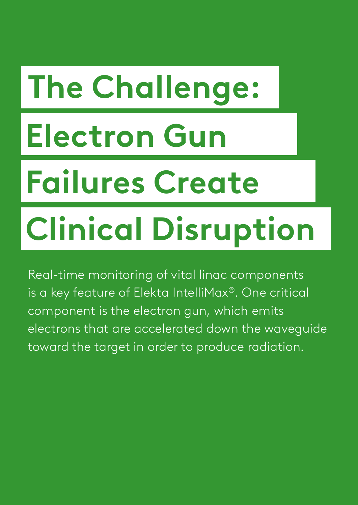# **The Challenge: Electron Gun Failures Create**

## **Clinical Disruption**

Real-time monitoring of vital linac components is a key feature of Elekta IntelliMax®. One critical component is the electron gun, which emits electrons that are accelerated down the waveguide toward the target in order to produce radiation.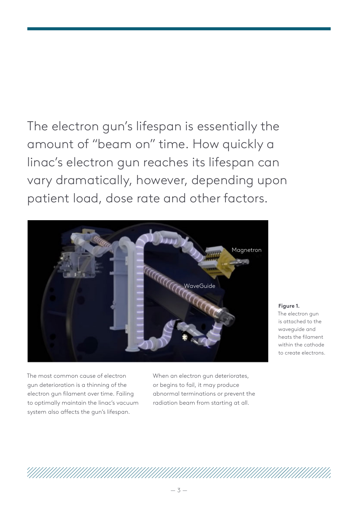## The electron gun's lifespan is essentially the amount of "beam on" time. How quickly a linac's electron gun reaches its lifespan can vary dramatically, however, depending upon patient load, dose rate and other factors.



The most common cause of electron gun deterioration is a thinning of the electron gun filament over time. Failing to optimally maintain the linac's vacuum system also affects the gun's lifespan.

When an electron gun deteriorates, or begins to fail, it may produce abnormal terminations or prevent the radiation beam from starting at all.

**Figure 1.** The electron gun is attached to the waveguide and heats the filament within the cathode to create electrons.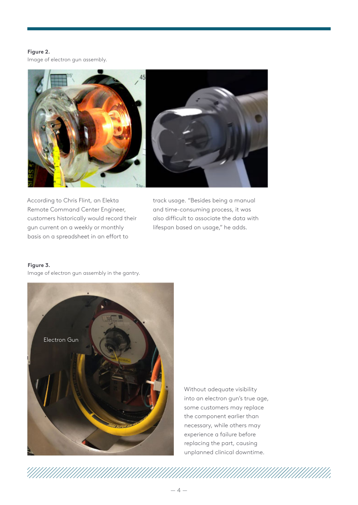#### **Figure 2.**

Image of electron gun assembly.



According to Chris Flint, an Elekta Remote Command Center Engineer, customers historically would record their gun current on a weekly or monthly gan same on a need, community<br>basis on a spreadsheet in an effort to

track usage. "Besides being a manual and time-consuming process, it was also difficult to associate the data with lifespan based on usage," he adds.

#### **Figure 3.**

Image of electron gun assembly in the gantry.



Without adequate visibility into an electron gun's true age, some customers may replace the component earlier than necessary, while others may experience a failure before replacing the part, causing unplanned clinical downtime.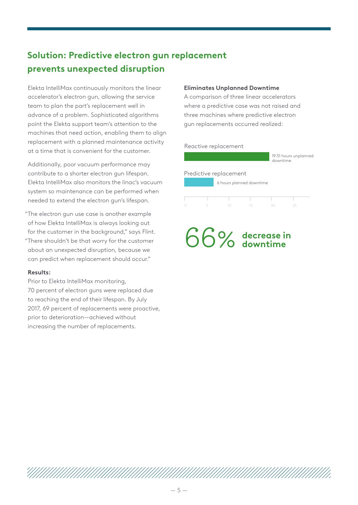#### **Solution: Predictive electron gun replacement prevents unexpected disruption**

Elekta IntelliMax continuously monitors the linear accelerator's electron gun, allowing the service team to plan the part's replacement well in advance of a problem. Sophisticated algorithms point the Elekta support team's attention to the machines that need action, enabling them to align replacement with a planned maintenance activity at a time that is convenient for the customer.

Additionally, poor vacuum performance may contribute to a shorter electron gun lifespan. Elekta IntelliMax also monitors the linac's vacuum system so maintenance can be performed when needed to extend the electron gun's lifespan.

- The electron gun use case is another example " of how Elekta IntelliMax is always looking out for the customer in the background," says Flint.
- There shouldn't be that worry for the customer "about an unexpected disruption, because we can predict when replacement should occur."

#### **Results:**

Prior to Elekta IntelliMax monitoring, 70 percent of electron guns were replaced due to reaching the end of their lifespan. By July 2017, 69 percent of replacements were proactive, prior to deterioration—achieved without increasing the number of replacements.

#### **Eliminates Unplanned Downtime**

A comparison of three linear accelerators where a predictive case was not raised and three machines where predictive electron gun replacements occurred realized:

#### Reactive replacement

|                          |                        |  |    | downtime | 19.51 hours unplanned |  |
|--------------------------|------------------------|--|----|----------|-----------------------|--|
|                          | Predictive replacement |  |    |          |                       |  |
| 6 hours planned downtime |                        |  |    |          |                       |  |
|                          |                        |  |    |          |                       |  |
|                          |                        |  |    |          |                       |  |
|                          |                        |  | 15 |          | クら                    |  |

#### 66% **decrease in downtime**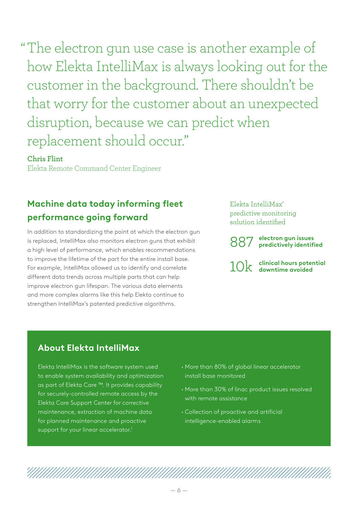The electron gun use case is another example of " how Elekta IntelliMax is always looking out for the customer in the background. There shouldn't be that worry for the customer about an unexpected disruption, because we can predict when replacement should occur."

#### **Chris Flint**

Elekta Remote Command Center Engineer

#### **Machine data today informing fleet performance going forward**

In addition to standardizing the point at which the electron gun is replaced, IntelliMax also monitors electron guns that exhibit a high level of performance, which enables recommendations to improve the lifetime of the part for the entire install base. For example, IntelliMax allowed us to identify and correlate different data trends across multiple parts that can help improve electron gun lifespan. The various data elements and more complex alarms like this help Elekta continue to strengthen IntelliMax's patented predictive algorithms.

Elekta IntelliMax® predictive monitoring solution identified

**electron gun issues**  887 **predictively identified**

10k clinical hours pote<br>downtime avoided

## **clinical hours potential**

#### **About Elekta IntelliMax**

Elekta IntelliMax is the software system used to enable system availability and optimization as part of Elekta Care ™. It provides capability for securely-controlled remote access by the Elekta Care Support Center for corrective maintenance, extraction of machine data for planned maintenance and proactive support for your linear accelerator.<sup>1</sup>

- **·** More than 80% of global linear accelerator install base monitored
- **·** More than 30% of linac product issues resolved with remote assistance
- **·** Collection of proactive and artificial intelligence-enabled alarms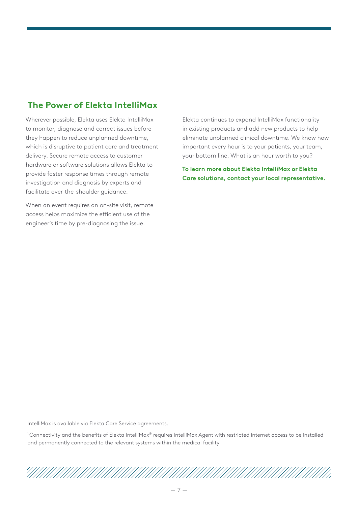#### **The Power of Elekta IntelliMax**

Wherever possible, Elekta uses Elekta IntelliMax to monitor, diagnose and correct issues before they happen to reduce unplanned downtime, which is disruptive to patient care and treatment delivery. Secure remote access to customer hardware or software solutions allows Elekta to provide faster response times through remote investigation and diagnosis by experts and facilitate over-the-shoulder guidance.

When an event requires an on-site visit, remote access helps maximize the efficient use of the engineer's time by pre-diagnosing the issue.

Elekta continues to expand IntelliMax functionality in existing products and add new products to help eliminate unplanned clinical downtime. We know how important every hour is to your patients, your team, your bottom line. What is an hour worth to you?

**To learn more about Elekta IntelliMax or Elekta Care solutions, contact your local representative.** 

IntelliMax is available via Elekta Care Service agreements.

1 Connectivity and the benefits of Elekta IntelliMax® requires IntelliMax Agent with restricted internet access to be installed and permanently connected to the relevant systems within the medical facility.

###